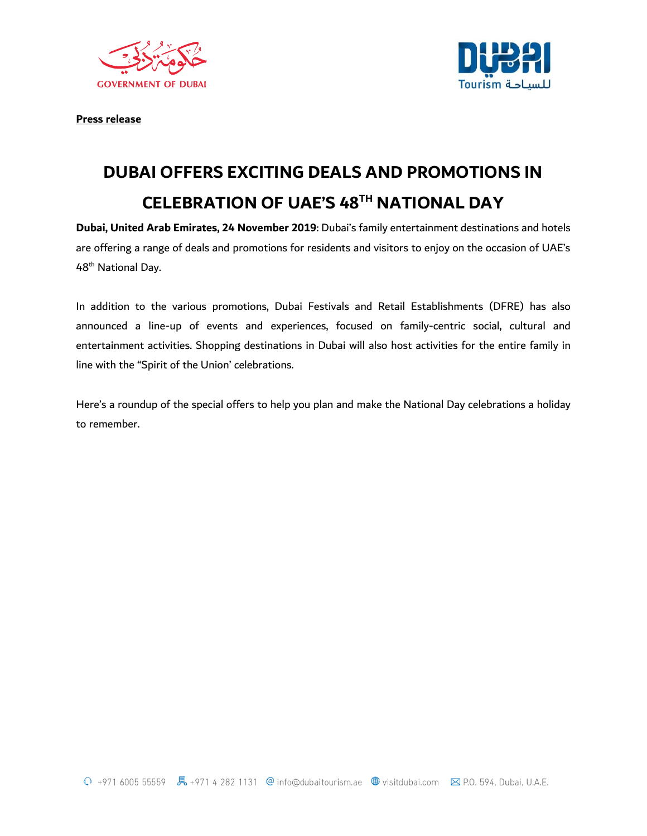



**Press release**

# **DUBAI OFFERS EXCITING DEALS AND PROMOTIONS IN CELEBRATION OF UAE'S 48TH NATIONAL DAY**

**Dubai, United Arab Emirates, 24 November 2019**: Dubai's family entertainment destinations and hotels are offering a range of deals and promotions for residents and visitors to enjoy on the occasion of UAE's 48th National Day.

In addition to the various promotions, Dubai Festivals and Retail Establishments (DFRE) has also announced a line-up of events and experiences, focused on family-centric social, cultural and entertainment activities. Shopping destinations in Dubai will also host activities for the entire family in line with the "Spirit of the Union' celebrations.

Here's a roundup of the special offers to help you plan and make the National Day celebrations a holiday to remember.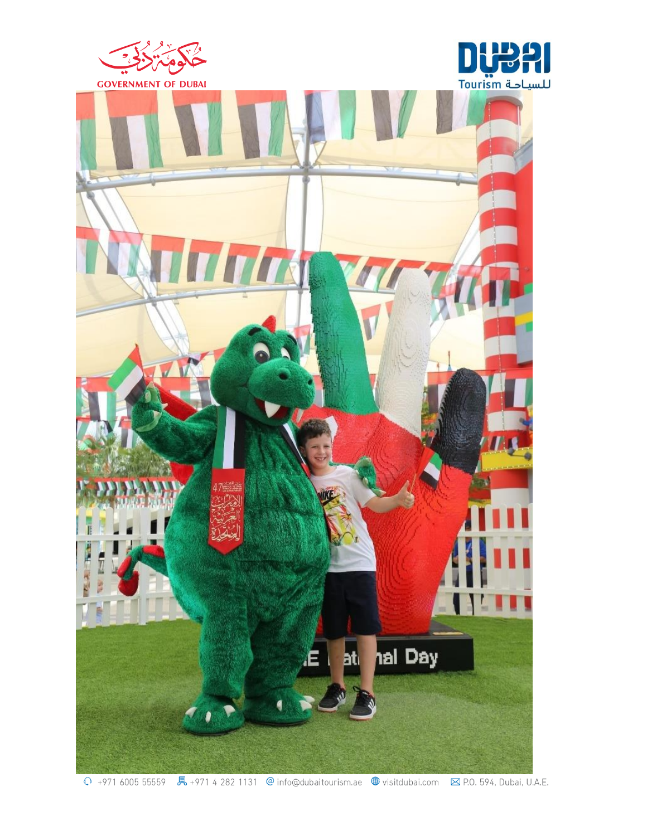

Q +971 6005 55559 圆 +971 4 282 1131 @ info@dubaitourism.ae ● visitdubai.com 図 P.O. 594, Dubai, U.A.E.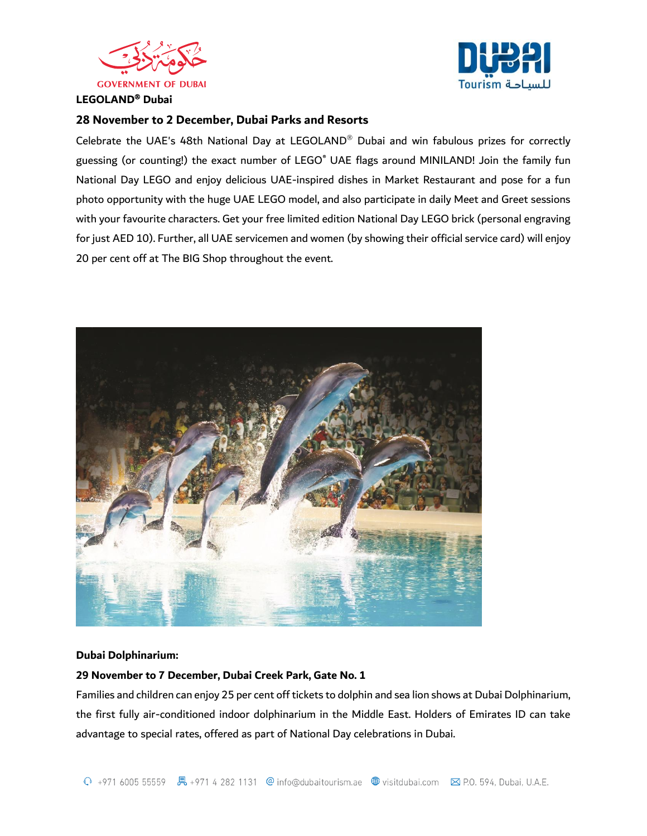

### **LEGOLAND Dubai**



### **28 November to 2 December, Dubai Parks and Resorts**

Celebrate the UAE's 48th National Day at LEGOLAND<sup>®</sup> Dubai and win fabulous prizes for correctly guessing (or counting!) the exact number of LEGO® UAE flags around MINILAND! Join the family fun National Day LEGO and enjoy delicious UAE-inspired dishes in Market Restaurant and pose for a fun photo opportunity with the huge UAE LEGO model, and also participate in daily Meet and Greet sessions with your favourite characters. Get your free limited edition National Day LEGO brick (personal engraving for just AED 10). Further, all UAE servicemen and women (by showing their official service card) will enjoy 20 per cent off at The BIG Shop throughout the event.



### **Dubai Dolphinarium:**

### **29 November to 7 December, Dubai Creek Park, Gate No. 1**

Families and children can enjoy 25 per cent off tickets to dolphin and sea lion shows at Dubai Dolphinarium, the first fully air-conditioned indoor dolphinarium in the Middle East. Holders of Emirates ID can take advantage to special rates, offered as part of National Day celebrations in Dubai.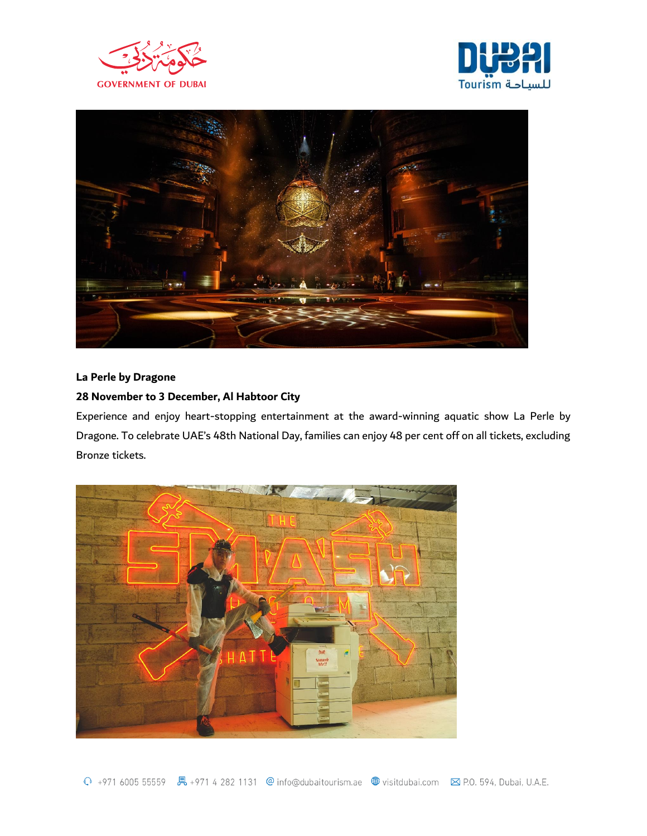





### **La Perle by Dragone**

### **28 November to 3 December, Al Habtoor City**

Experience and enjoy heart-stopping entertainment at the award-winning aquatic show La Perle by Dragone. To celebrate UAE's 48th National Day, families can enjoy 48 per cent off on all tickets, excluding Bronze tickets.

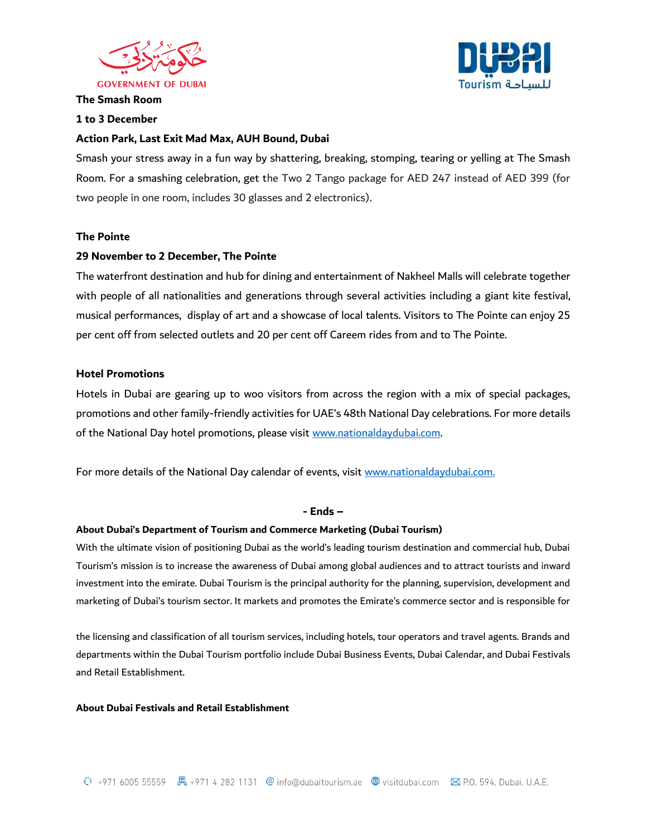



## **The Smash Room**

### **1 to 3 December**

### **Action Park, Last Exit Mad Max, AUH Bound, Dubai**

Smash your stress away in a fun way by shattering, breaking, stomping, tearing or yelling at The Smash Room. For a smashing celebration, get the Two 2 Tango package for AED 247 instead of AED 399 (for two people in one room, includes 30 glasses and 2 electronics).

### **The Pointe**

### **29 November to 2 December, The Pointe**

The waterfront destination and hub for dining and entertainment of Nakheel Malls will celebrate together with people of all nationalities and generations through several activities including a giant kite festival, musical performances, display of art and a showcase of local talents. Visitors to The Pointe can enjoy 25 per cent off from selected outlets and 20 per cent off Careem rides from and to The Pointe.

### **Hotel Promotions**

Hotels in Dubai are gearing up to woo visitors from across the region with a mix of special packages, promotions and other family-friendly activities for UAE's 48th National Day celebrations. For more details of the National Day hotel promotions, please visit www.nationaldaydubai.com.

For more details of the National Day calendar of events, visit [www.nationaldaydubai.com.](http://www.nationaldaydubai.com/)

### **- Ends –**

### **About Dubai's Department of Tourism and Commerce Marketing (Dubai Tourism)**

With the ultimate vision of positioning Dubai as the world's leading tourism destination and commercial hub, Dubai Tourism's mission is to increase the awareness of Dubai among global audiences and to attract tourists and inward investment into the emirate. Dubai Tourism is the principal authority for the planning, supervision, development and marketing of Dubai's tourism sector. It markets and promotes the Emirate's commerce sector and is responsible for

the licensing and classification of all tourism services, including hotels, tour operators and travel agents. Brands and departments within the Dubai Tourism portfolio include Dubai Business Events, Dubai Calendar, and Dubai Festivals and Retail Establishment.

### **About Dubai Festivals and Retail Establishment**